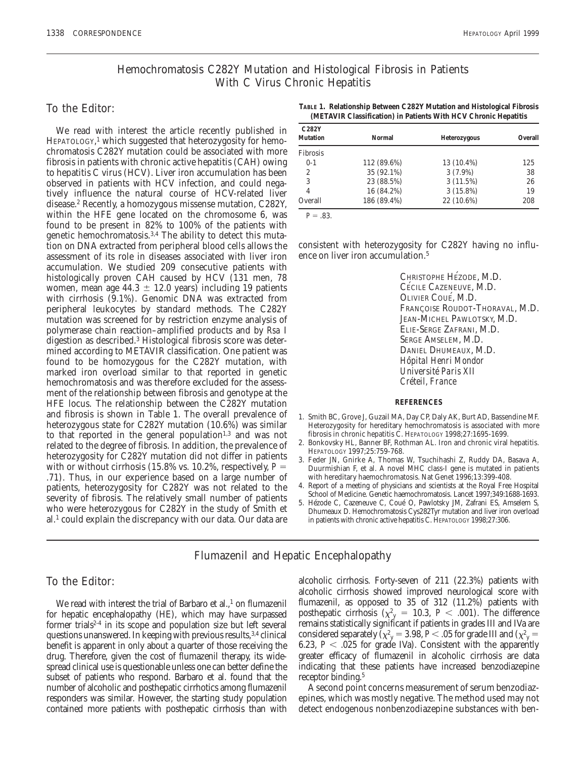# Hemochromatosis C282Y Mutation and Histological Fibrosis in Patients With C Virus Chronic Hepatitis

### To the Editor:

We read with interest the article recently published in HEPATOLOGY, <sup>1</sup> which suggested that heterozygosity for hemochromatosis C282Y mutation could be associated with more fibrosis in patients with chronic active hepatitis (CAH) owing to hepatitis C virus (HCV). Liver iron accumulation has been observed in patients with HCV infection, and could negatively influence the natural course of HCV-related liver disease.2 Recently, a homozygous missense mutation, C282Y, within the HFE gene located on the chromosome 6, was found to be present in 82% to 100% of the patients with genetic hemochromatosis.<sup>3,4</sup> The ability to detect this mutation on DNA extracted from peripheral blood cells allows the assessment of its role in diseases associated with liver iron accumulation. We studied 209 consecutive patients with histologically proven CAH caused by HCV (131 men, 78 women, mean age  $44.3 \pm 12.0$  years) including 19 patients with cirrhosis (9.1%). Genomic DNA was extracted from peripheral leukocytes by standard methods. The C282Y mutation was screened for by restriction enzyme analysis of polymerase chain reaction–amplified products and by *Rsa* I digestion as described.3 Histological fibrosis score was determined according to METAVIR classification. One patient was found to be homozygous for the C282Y mutation, with marked iron overload similar to that reported in genetic hemochromatosis and was therefore excluded for the assessment of the relationship between fibrosis and genotype at the HFE locus. The relationship between the C282Y mutation and fibrosis is shown in Table 1. The overall prevalence of heterozygous state for C282Y mutation (10.6%) was similar to that reported in the general population $1,3$  and was not related to the degree of fibrosis. In addition, the prevalence of heterozygosity for C282Y mutation did not differ in patients with or without cirrhosis  $(15.8\% \text{ vs. } 10.2\%$ , respectively,  $P =$ .71). Thus, in our experience based on a large number of patients, heterozygosity for C282Y was not related to the severity of fibrosis. The relatively small number of patients who were heterozygous for C282Y in the study of Smith et al.1 could explain the discrepancy with our data. Our data are

**TABLE 1. Relationship Between C282Y Mutation and Histological Fibrosis (METAVIR Classification) in Patients With HCV Chronic Hepatitis**

| C282Y<br><b>Mutation</b> | Normal      | Heterozygous | Overall |
|--------------------------|-------------|--------------|---------|
| Fibrosis                 |             |              |         |
| $0-1$                    | 112 (89.6%) | 13 (10.4%)   | 125     |
| 2                        | 35 (92.1%)  | $3(7.9\%)$   | 38      |
| 3                        | 23 (88.5%)  | 3(11.5%)     | 26      |
| 4                        | 16 (84.2%)  | $3(15.8\%)$  | 19      |
| Overall                  | 186 (89.4%) | 22 (10.6%)   | 208     |

 $P = .83$ .

consistent with heterozygosity for C282Y having no influence on liver iron accumulation.<sup>5</sup>

> CHRISTOPHE HÉZODE, M.D. CÉCILE CAZENEUVE, M.D. OLIVIER COUE´, M.D. FRANÇOISE ROUDOT-THORAVAL, M.D. JEAN-MICHEL PAWLOTSKY, M.D. ELIE-SERGE ZAFRANI, M.D. SERGE AMSELEM, M.D. DANIEL DHUMEAUX, M.D. *Hoˆpital Henri Mondor Universite´ Paris XII Cre´teil, France*

#### **REFERENCES**

- 1. Smith BC, Grove J, Guzail MA, Day CP, Daly AK, Burt AD, Bassendine MF. Heterozygosity for hereditary hemochromatosis is associated with more fibrosis in chronic hepatitis C. HEPATOLOGY 1998;27:1695-1699.
- 2. Bonkovsky HL, Banner BF, Rothman AL. Iron and chronic viral hepatitis. HEPATOLOGY 1997;25:759-768.
- 3. Feder JN, Gnirke A, Thomas W, Tsuchihashi Z, Ruddy DA, Basava A, Duurmishian F, et al. A novel MHC class-I gene is mutated in patients with hereditary haemochromatosis. Nat Genet 1996;13:399-408.
- 4. Report of a meeting of physicians and scientists at the Royal Free Hospital School of Medicine. Genetic haemochromatosis. Lancet 1997;349:1688-1693.
- 5. Hézode C, Cazeneuve C, Coué O, Pawlotsky JM, Zafrani ES, Amselem S, Dhumeaux D. Hemochromatosis Cys282Tyr mutation and liver iron overload in patients with chronic active hepatitis C. HEPATOLOGY 1998;27:306.

# Flumazenil and Hepatic Encephalopathy

## To the Editor:

We read with interest the trial of Barbaro et al.,<sup>1</sup> on flumazenil for hepatic encephalopathy (HE), which may have surpassed former trials<sup> $2-4$ </sup> in its scope and population size but left several questions unanswered. In keeping with previous results,3,4 clinical benefit is apparent in only about a quarter of those receiving the drug. Therefore, given the cost of flumazenil therapy, its widespread clinical use is questionable unless one can better define the subset of patients who respond. Barbaro et al. found that the number of alcoholic and posthepatic cirrhotics among flumazenil responders was similar. However, the starting study population contained more patients with posthepatic cirrhosis than with

alcoholic cirrhosis. Forty-seven of 211 (22.3%) patients with alcoholic cirrhosis showed improved neurological score with flumazenil, as opposed to 35 of 312 (11.2%) patients with posthepatic cirrhosis ( $\chi^2$ <sub>y</sub> = 10.3, *P* < .001). The difference remains statistically significant if patients in grades III and IVa are considered separately ( $\chi^2$ <sub>y</sub> = 3.98, *P* < .05 for grade III and ( $\chi^2$ <sub>y</sub> = 6.23,  $P < .025$  for grade IVa). Consistent with the apparently greater efficacy of flumazenil in alcoholic cirrhosis are data indicating that these patients have increased benzodiazepine receptor binding.<sup>5</sup>

A second point concerns measurement of serum benzodiazepines, which was mostly negative. The method used may not detect endogenous nonbenzodiazepine substances with ben